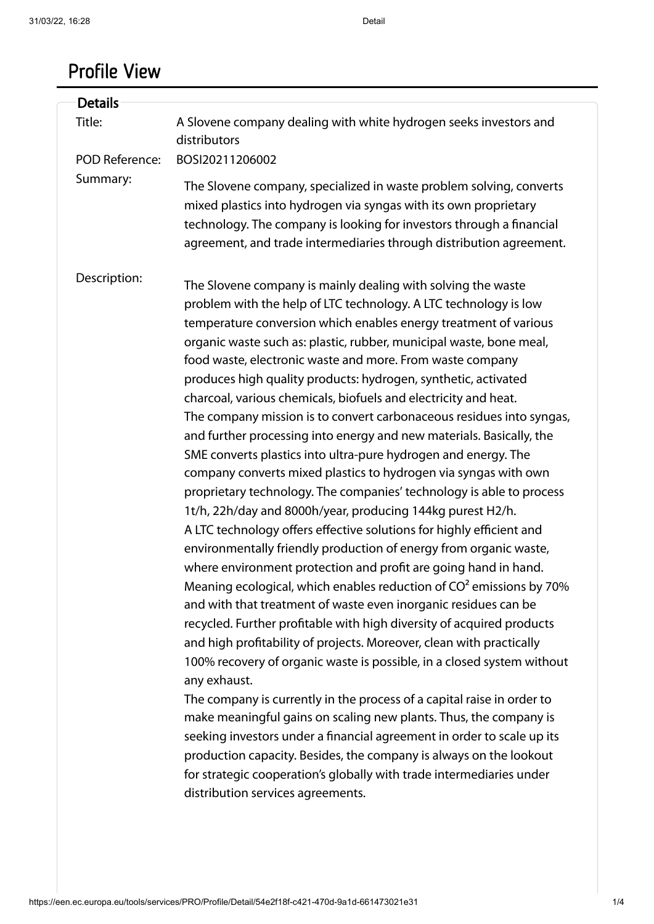# Profile View

| <b>Details</b>        |                                                                                                                                                                                                                                                                                                                                                                                                                                                                                                                                                                                                                                                                                                                                                                                                                                                                                                                                                                                                                                                                                                                                                                                                                                                                                                                                                                                                                                                                                                                                                                                                                                                                                                                                                                                                                                                                                                                             |
|-----------------------|-----------------------------------------------------------------------------------------------------------------------------------------------------------------------------------------------------------------------------------------------------------------------------------------------------------------------------------------------------------------------------------------------------------------------------------------------------------------------------------------------------------------------------------------------------------------------------------------------------------------------------------------------------------------------------------------------------------------------------------------------------------------------------------------------------------------------------------------------------------------------------------------------------------------------------------------------------------------------------------------------------------------------------------------------------------------------------------------------------------------------------------------------------------------------------------------------------------------------------------------------------------------------------------------------------------------------------------------------------------------------------------------------------------------------------------------------------------------------------------------------------------------------------------------------------------------------------------------------------------------------------------------------------------------------------------------------------------------------------------------------------------------------------------------------------------------------------------------------------------------------------------------------------------------------------|
| Title:                | A Slovene company dealing with white hydrogen seeks investors and<br>distributors                                                                                                                                                                                                                                                                                                                                                                                                                                                                                                                                                                                                                                                                                                                                                                                                                                                                                                                                                                                                                                                                                                                                                                                                                                                                                                                                                                                                                                                                                                                                                                                                                                                                                                                                                                                                                                           |
| <b>POD Reference:</b> | BOSI20211206002                                                                                                                                                                                                                                                                                                                                                                                                                                                                                                                                                                                                                                                                                                                                                                                                                                                                                                                                                                                                                                                                                                                                                                                                                                                                                                                                                                                                                                                                                                                                                                                                                                                                                                                                                                                                                                                                                                             |
| Summary:              | The Slovene company, specialized in waste problem solving, converts<br>mixed plastics into hydrogen via syngas with its own proprietary<br>technology. The company is looking for investors through a financial<br>agreement, and trade intermediaries through distribution agreement.                                                                                                                                                                                                                                                                                                                                                                                                                                                                                                                                                                                                                                                                                                                                                                                                                                                                                                                                                                                                                                                                                                                                                                                                                                                                                                                                                                                                                                                                                                                                                                                                                                      |
| Description:          | The Slovene company is mainly dealing with solving the waste<br>problem with the help of LTC technology. A LTC technology is low<br>temperature conversion which enables energy treatment of various<br>organic waste such as: plastic, rubber, municipal waste, bone meal,<br>food waste, electronic waste and more. From waste company<br>produces high quality products: hydrogen, synthetic, activated<br>charcoal, various chemicals, biofuels and electricity and heat.<br>The company mission is to convert carbonaceous residues into syngas,<br>and further processing into energy and new materials. Basically, the<br>SME converts plastics into ultra-pure hydrogen and energy. The<br>company converts mixed plastics to hydrogen via syngas with own<br>proprietary technology. The companies' technology is able to process<br>1t/h, 22h/day and 8000h/year, producing 144kg purest H2/h.<br>A LTC technology offers effective solutions for highly efficient and<br>environmentally friendly production of energy from organic waste,<br>where environment protection and profit are going hand in hand.<br>Meaning ecological, which enables reduction of $CO2$ emissions by 70%<br>and with that treatment of waste even inorganic residues can be<br>recycled. Further profitable with high diversity of acquired products<br>and high profitability of projects. Moreover, clean with practically<br>100% recovery of organic waste is possible, in a closed system without<br>any exhaust.<br>The company is currently in the process of a capital raise in order to<br>make meaningful gains on scaling new plants. Thus, the company is<br>seeking investors under a financial agreement in order to scale up its<br>production capacity. Besides, the company is always on the lookout<br>for strategic cooperation's globally with trade intermediaries under<br>distribution services agreements. |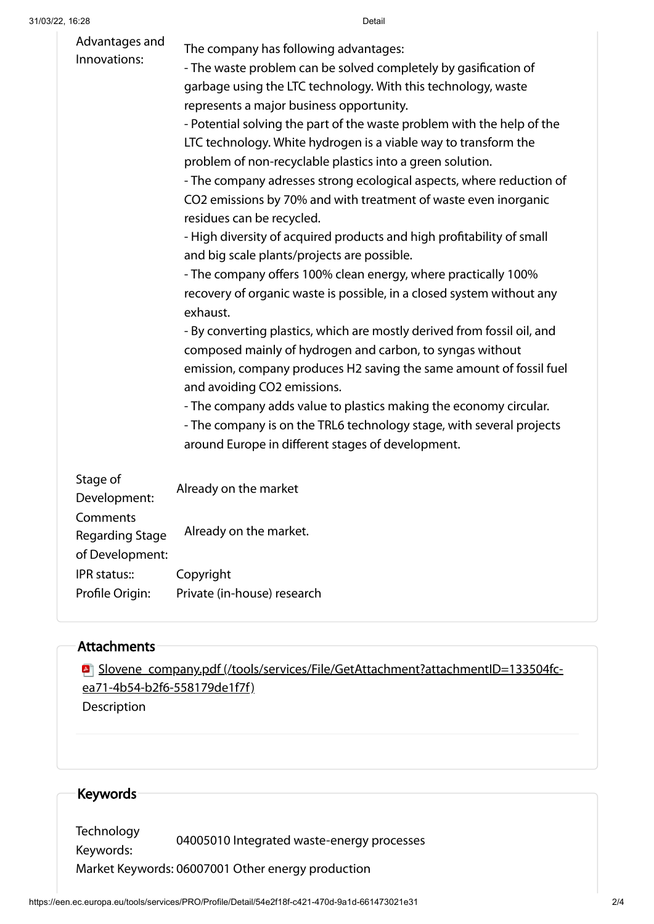| Advantages and<br>Innovations:                        | The company has following advantages:<br>- The waste problem can be solved completely by gasification of<br>garbage using the LTC technology. With this technology, waste<br>represents a major business opportunity.<br>- Potential solving the part of the waste problem with the help of the<br>LTC technology. White hydrogen is a viable way to transform the<br>problem of non-recyclable plastics into a green solution.<br>- The company adresses strong ecological aspects, where reduction of<br>CO2 emissions by 70% and with treatment of waste even inorganic<br>residues can be recycled.<br>- High diversity of acquired products and high profitability of small<br>and big scale plants/projects are possible.<br>- The company offers 100% clean energy, where practically 100%<br>recovery of organic waste is possible, in a closed system without any<br>exhaust.<br>- By converting plastics, which are mostly derived from fossil oil, and<br>composed mainly of hydrogen and carbon, to syngas without<br>emission, company produces H2 saving the same amount of fossil fuel<br>and avoiding CO2 emissions.<br>- The company adds value to plastics making the economy circular.<br>- The company is on the TRL6 technology stage, with several projects<br>around Europe in different stages of development. |
|-------------------------------------------------------|----------------------------------------------------------------------------------------------------------------------------------------------------------------------------------------------------------------------------------------------------------------------------------------------------------------------------------------------------------------------------------------------------------------------------------------------------------------------------------------------------------------------------------------------------------------------------------------------------------------------------------------------------------------------------------------------------------------------------------------------------------------------------------------------------------------------------------------------------------------------------------------------------------------------------------------------------------------------------------------------------------------------------------------------------------------------------------------------------------------------------------------------------------------------------------------------------------------------------------------------------------------------------------------------------------------------------------------|
| Stage of<br>Development:                              | Already on the market                                                                                                                                                                                                                                                                                                                                                                                                                                                                                                                                                                                                                                                                                                                                                                                                                                                                                                                                                                                                                                                                                                                                                                                                                                                                                                                  |
| Comments<br><b>Regarding Stage</b><br>of Development: | Already on the market.                                                                                                                                                                                                                                                                                                                                                                                                                                                                                                                                                                                                                                                                                                                                                                                                                                                                                                                                                                                                                                                                                                                                                                                                                                                                                                                 |
| IPR status::                                          | Copyright                                                                                                                                                                                                                                                                                                                                                                                                                                                                                                                                                                                                                                                                                                                                                                                                                                                                                                                                                                                                                                                                                                                                                                                                                                                                                                                              |
| Profile Origin:                                       | Private (in-house) research                                                                                                                                                                                                                                                                                                                                                                                                                                                                                                                                                                                                                                                                                                                                                                                                                                                                                                                                                                                                                                                                                                                                                                                                                                                                                                            |

#### Attachments

Slovene\_company.pdf [\(/tools/services/File/GetAttachment?attachmentID=133504fc](https://een.ec.europa.eu/tools/services/File/GetAttachment?attachmentID=133504fc-ea71-4b54-b2f6-558179de1f7f)ea71-4b54-b2f6-558179de1f7f) Description

## Keywords

Technology Keywords: 04005010 Integrated waste-energy processes Market Keywords: 06007001 Other energy production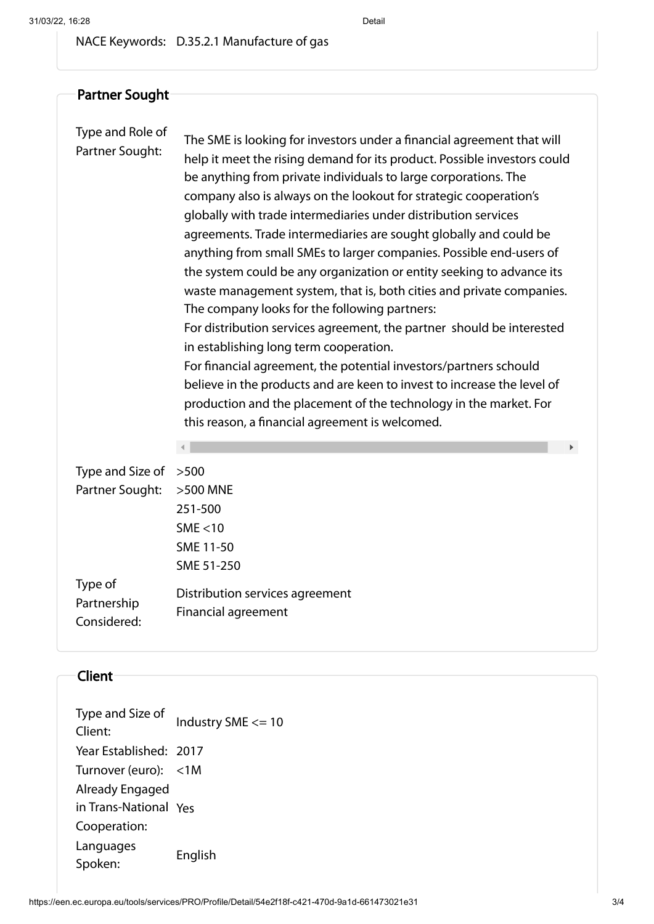NACE Keywords: D.35.2.1 Manufacture of gas

Partner Sought Type and Role of Partner Sought: The SME is looking for investors under a financial agreement that will help it meet the rising demand for its product. Possible investors could be anything from private individuals to large corporations. The company also is always on the lookout for strategic cooperation's globally with trade intermediaries under distribution services agreements. Trade intermediaries are sought globally and could be anything from small SMEs to larger companies. Possible end-users of the system could be any organization or entity seeking to advance its waste management system, that is, both cities and private companies. The company looks for the following partners: For distribution services agreement, the partner should be interested in establishing long term cooperation. For financial agreement, the potential investors/partners schould believe in the products and are keen to invest to increase the level of production and the placement of the technology in the market. For this reason, a financial agreement is welcomed. Type and Size of >500 Partner Sought: >500 MNE 251-500 SME <10 SME 11-50 SME 51-250 Type of Partnership Considered: Distribution services agreement Financial agreement

#### Client

| Type and Size of<br>Client: | Industry SME <= 10 |
|-----------------------------|--------------------|
| Year Established: 2017      |                    |
| Turnover (euro): <1M        |                    |
| Already Engaged             |                    |
| in Trans-National Yes       |                    |
| Cooperation:                |                    |
| Languages<br>Spoken:        | English            |